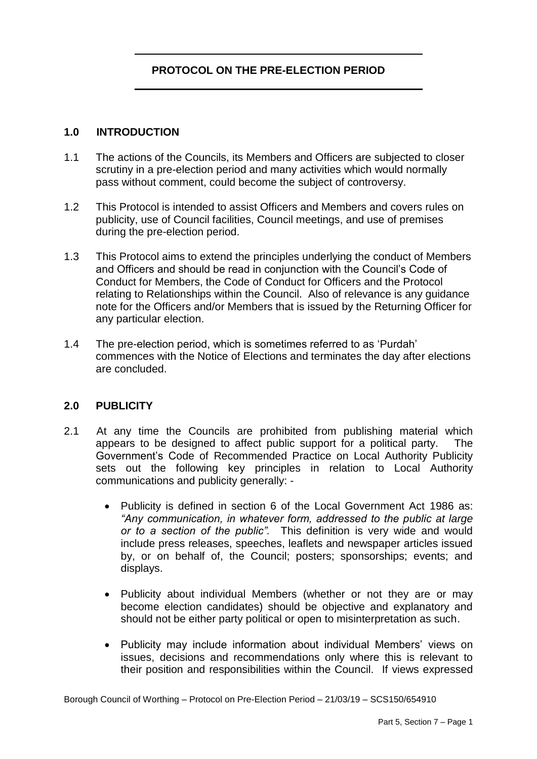# **PROTOCOL ON THE PRE-ELECTION PERIOD**

#### **1.0 INTRODUCTION**

- 1.1 The actions of the Councils, its Members and Officers are subjected to closer scrutiny in a pre-election period and many activities which would normally pass without comment, could become the subject of controversy.
- 1.2 This Protocol is intended to assist Officers and Members and covers rules on publicity, use of Council facilities, Council meetings, and use of premises during the pre-election period.
- 1.3 This Protocol aims to extend the principles underlying the conduct of Members and Officers and should be read in conjunction with the Council's Code of Conduct for Members, the Code of Conduct for Officers and the Protocol relating to Relationships within the Council. Also of relevance is any guidance note for the Officers and/or Members that is issued by the Returning Officer for any particular election.
- 1.4 The pre-election period, which is sometimes referred to as 'Purdah' commences with the Notice of Elections and terminates the day after elections are concluded.

#### **2.0 PUBLICITY**

- $2.1$  appears to be designed to affect public support for a political party. The Government's Code of Recommended Practice on Local Authority Publicity sets out the following key principles in relation to Local Authority At any time the Councils are prohibited from publishing material which communications and publicity generally: -
	- $\bullet$  *"Any communication, in whatever form, addressed to the public at large or to a section of the public".* This definition is very wide and would include press releases, speeches, leaflets and newspaper articles issued by, or on behalf of, the Council; posters; sponsorships; events; and Publicity is defined in section 6 of the Local Government Act 1986 as: displays.
	- $\bullet$  become election candidates) should be objective and explanatory and Publicity about individual Members (whether or not they are or may should not be either party political or open to misinterpretation as such.
	- Publicity may include information about individual Members' views on their position and responsibilities within the Council. If views expressed issues, decisions and recommendations only where this is relevant to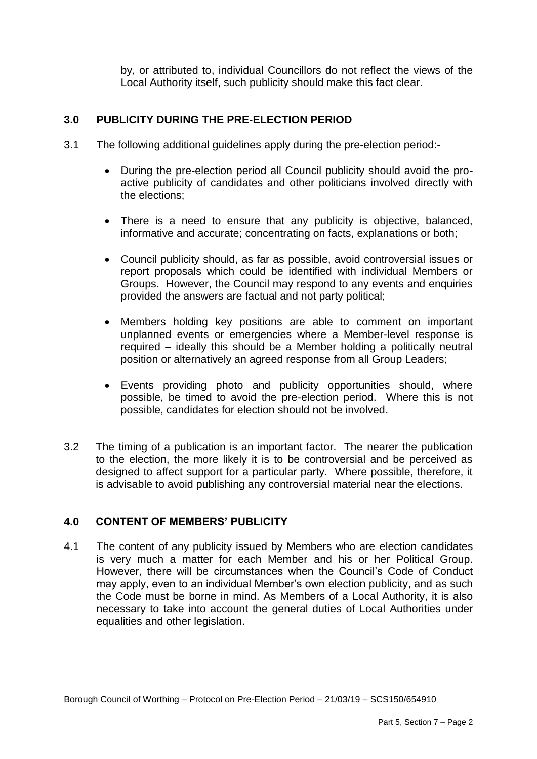by, or attributed to, individual Councillors do not reflect the views of the Local Authority itself, such publicity should make this fact clear.

# **3.0 PUBLICITY DURING THE PRE-ELECTION PERIOD**

- $3.1$ The following additional guidelines apply during the pre-election period:-
	- $\bullet$  active publicity of candidates and other politicians involved directly with During the pre-election period all Council publicity should avoid the prothe elections;
	- There is a need to ensure that any publicity is objective, balanced, informative and accurate; concentrating on facts, explanations or both;
	- $\bullet$  report proposals which could be identified with individual Members or Groups. However, the Council may respond to any events and enquiries Council publicity should, as far as possible, avoid controversial issues or provided the answers are factual and not party political;
	- Members holding key positions are able to comment on important unplanned events or emergencies where a Member-level response is required – ideally this should be a Member holding a politically neutral position or alternatively an agreed response from all Group Leaders;
	- Events providing photo and publicity opportunities should, where possible, be timed to avoid the pre-election period. Where this is not possible, candidates for election should not be involved.
- $3.2$  to the election, the more likely it is to be controversial and be perceived as designed to affect support for a particular party. Where possible, therefore, it The timing of a publication is an important factor. The nearer the publication is advisable to avoid publishing any controversial material near the elections.

#### **4.0 CONTENT OF MEMBERS' PUBLICITY**

 $4.1$  is very much a matter for each Member and his or her Political Group. However, there will be circumstances when the Council's Code of Conduct may apply, even to an individual Member's own election publicity, and as such the Code must be borne in mind. As Members of a Local Authority, it is also necessary to take into account the general duties of Local Authorities under equalities and other legislation. The content of any publicity issued by Members who are election candidates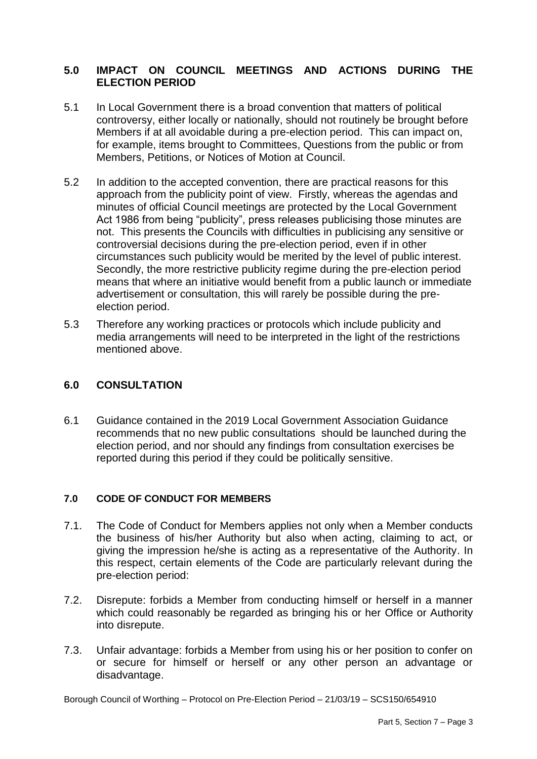# **5.0 IMPACT ON COUNCIL MEETINGS AND ACTIONS DURING THE ELECTION PERIOD**

- Members, Petitions, or Notices of Motion at Council. 5.1 In Local Government there is a broad convention that matters of political controversy, either locally or nationally, should not routinely be brought before Members if at all avoidable during a pre-election period. This can impact on, for example, items brought to Committees, Questions from the public or from
- 5.2 In addition to the accepted convention, there are practical reasons for this approach from the publicity point of view. Firstly, whereas the agendas and circumstances such publicity would be merited by the level of public interest. Secondly, the more restrictive publicity regime during the pre-election period advertisement or consultation, this will rarely be possible during the preminutes of official Council meetings are protected by the Local Government Act 1986 from being "publicity", press releases publicising those minutes are not. This presents the Councils with difficulties in publicising any sensitive or controversial decisions during the pre-election period, even if in other means that where an initiative would benefit from a public launch or immediate election period.
- 5.3 Therefore any working practices or protocols which include publicity and media arrangements will need to be interpreted in the light of the restrictions mentioned above.

#### **6.0 CONSULTATION**

 6.1 Guidance contained in the 2019 Local Government Association Guidance recommends that no new public consultations should be launched during the election period, and nor should any findings from consultation exercises be reported during this period if they could be politically sensitive.

#### **7.0 CODE OF CONDUCT FOR MEMBERS**

- $7.1.$  the business of his/her Authority but also when acting, claiming to act, or giving the impression he/she is acting as a representative of the Authority. In this respect, certain elements of the Code are particularly relevant during the The Code of Conduct for Members applies not only when a Member conducts pre-election period:
- 7.2. Disrepute: forbids a Member from conducting himself or herself in a manner which could reasonably be regarded as bringing his or her Office or Authority into disrepute.
- $7.3.$  or secure for himself or herself or any other person an advantage or Unfair advantage: forbids a Member from using his or her position to confer on disadvantage.

Borough Council of Worthing – Protocol on Pre-Election Period – 21/03/19 – SCS150/654910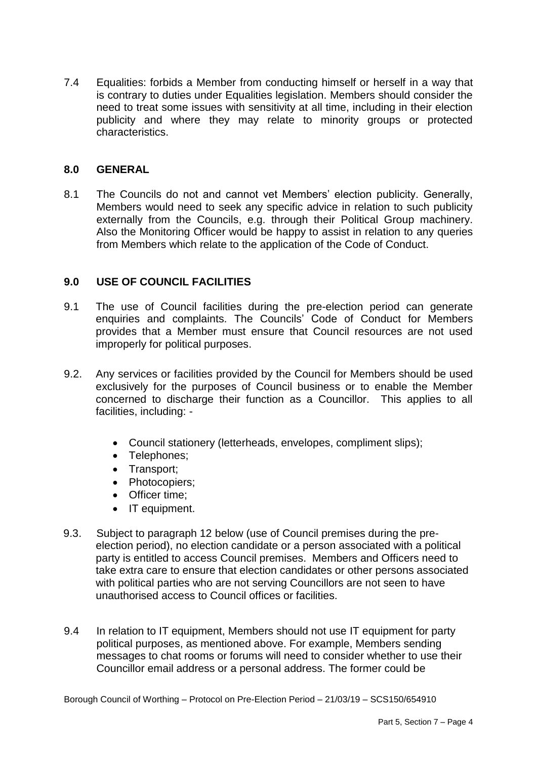7.4 Equalities: forbids a Member from conducting himself or herself in a way that is contrary to duties under Equalities legislation. Members should consider the need to treat some issues with sensitivity at all time, including in their election publicity and where they may relate to minority groups or protected characteristics.

# **8.0 GENERAL**

 $8<sub>1</sub>$  Members would need to seek any specific advice in relation to such publicity externally from the Councils, e.g. through their Political Group machinery. Also the Monitoring Officer would be happy to assist in relation to any queries from Members which relate to the application of the Code of Conduct. The Councils do not and cannot vet Members' election publicity. Generally,

# **9.0 USE OF COUNCIL FACILITIES**

- $9.1$  enquiries and complaints. The Councils' Code of Conduct for Members provides that a Member must ensure that Council resources are not used The use of Council facilities during the pre-election period can generate improperly for political purposes.
- $9.2.$  exclusively for the purposes of Council business or to enable the Member concerned to discharge their function as a Councillor. This applies to all 9.2. Any services or facilities provided by the Council for Members should be used facilities, including: -
	- Council stationery (letterheads, envelopes, compliment slips);
	- Telephones;
	- Transport:
	- Photocopiers;
	- Officer time;
	- IT equipment.
- party is entitled to access Council premises. Members and Officers need to with political parties who are not serving Councillors are not seen to have 9.3. Subject to paragraph 12 below (use of Council premises during the preelection period), no election candidate or a person associated with a political take extra care to ensure that election candidates or other persons associated unauthorised access to Council offices or facilities.
- 9.4 In relation to IT equipment, Members should not use IT equipment for party political purposes, as mentioned above. For example, Members sending messages to chat rooms or forums will need to consider whether to use their Councillor email address or a personal address. The former could be

Borough Council of Worthing – Protocol on Pre-Election Period – 21/03/19 – SCS150/654910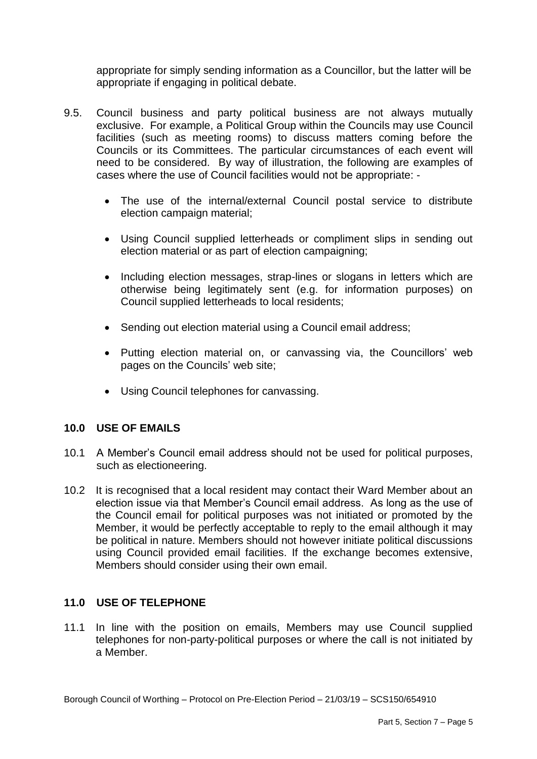appropriate for simply sending information as a Councillor, but the latter will be appropriate if engaging in political debate.

- $9.5.$  exclusive. For example, a Political Group within the Councils may use Council facilities (such as meeting rooms) to discuss matters coming before the Councils or its Committees. The particular circumstances of each event will need to be considered. By way of illustration, the following are examples of cases where the use of Council facilities would not be appropriate: - 9.5. Council business and party political business are not always mutually
	- The use of the internal/external Council postal service to distribute election campaign material;
	- Using Council supplied letterheads or compliment slips in sending out election material or as part of election campaigning;
	- $\bullet$  otherwise being legitimately sent (e.g. for information purposes) on Including election messages, strap-lines or slogans in letters which are Council supplied letterheads to local residents;
	- Sending out election material using a Council email address;
	- Putting election material on, or canvassing via, the Councillors' web pages on the Councils' web site;
	- Using Council telephones for canvassing.

#### **10.0 USE OF EMAILS**

- 10.1 A Member's Council email address should not be used for political purposes, such as electioneering.
- 10.2 It is recognised that a local resident may contact their Ward Member about an election issue via that Member's Council email address. As long as the use of the Council email for political purposes was not initiated or promoted by the Member, it would be perfectly acceptable to reply to the email although it may using Council provided email facilities. If the exchange becomes extensive, be political in nature. Members should not however initiate political discussions Members should consider using their own email.

#### **11.0 USE OF TELEPHONE**

 11.1 In line with the position on emails, Members may use Council supplied telephones for non-party-political purposes or where the call is not initiated by a Member.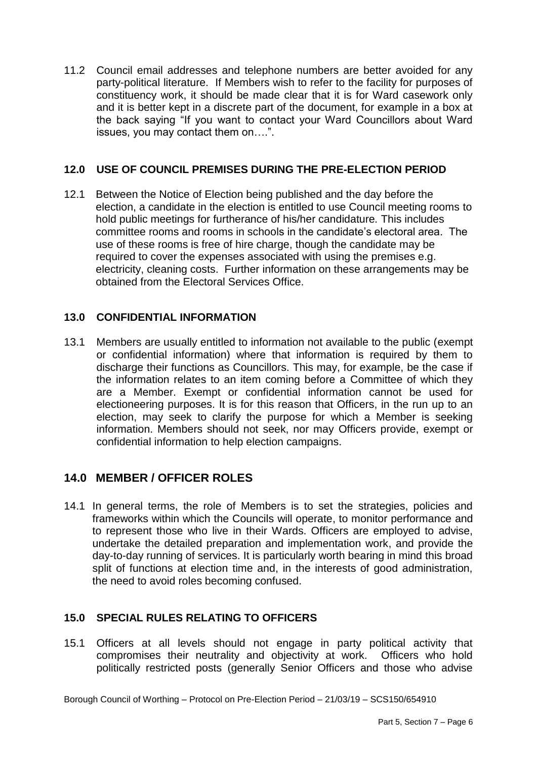11.2 Council email addresses and telephone numbers are better avoided for any party-political literature. If Members wish to refer to the facility for purposes of constituency work, it should be made clear that it is for Ward casework only and it is better kept in a discrete part of the document, for example in a box at the back saying "If you want to contact your Ward Councillors about Ward issues, you may contact them on….".

# **12.0 USE OF COUNCIL PREMISES DURING THE PRE-ELECTION PERIOD**

 election, a candidate in the election is entitled to use Council meeting rooms to use of these rooms is free of hire charge, though the candidate may be required to cover the expenses associated with using the premises e.g. electricity, cleaning costs. Further information on these arrangements may be 12.1 Between the Notice of Election being published and the day before the hold public meetings for furtherance of his/her candidature*.* This includes committee rooms and rooms in schools in the candidate's electoral area. The obtained from the Electoral Services Office.

# **13.0 CONFIDENTIAL INFORMATION**

 13.1 Members are usually entitled to information not available to the public (exempt or confidential information) where that information is required by them to discharge their functions as Councillors. This may, for example, be the case if the information relates to an item coming before a Committee of which they are a Member. Exempt or confidential information cannot be used for electioneering purposes. It is for this reason that Officers, in the run up to an election, may seek to clarify the purpose for which a Member is seeking information. Members should not seek, nor may Officers provide, exempt or confidential information to help election campaigns.

# **14.0 MEMBER / OFFICER ROLES**

 14.1 In general terms, the role of Members is to set the strategies, policies and frameworks within which the Councils will operate, to monitor performance and to represent those who live in their Wards. Officers are employed to advise, undertake the detailed preparation and implementation work, and provide the split of functions at election time and, in the interests of good administration, day-to-day running of services. It is particularly worth bearing in mind this broad the need to avoid roles becoming confused.

# **15.0 SPECIAL RULES RELATING TO OFFICERS**

 15.1 Officers at all levels should not engage in party political activity that compromises their neutrality and objectivity at work. Officers who hold politically restricted posts (generally Senior Officers and those who advise

Borough Council of Worthing – Protocol on Pre-Election Period – 21/03/19 – SCS150/654910